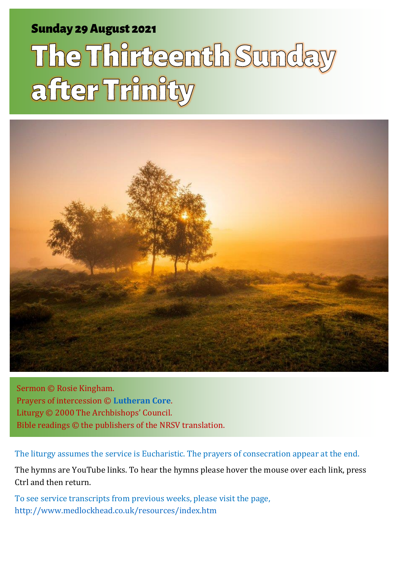# Sunday 29 August 2021 1 The Trinity Sunday after Trinity and Sunday after Trinity and Sunday after Trinity and

# The Thirteenth Sunday after Trinity



Sermon © Rosie Kingham. Prayers of intercession © **[Lutheran Core](http://lutherancore.website/2021/07/28/august-29-14th-sunday-after-pentecost-proper-17/)**. Liturgy © 2000 The Archbishops' Council. Bible readings © the publishers of the NRSV translation.

The liturgy assumes the service is Eucharistic. The prayers of consecration appear at the end.

The hymns are YouTube links. To hear the hymns please hover the mouse over each link, press Ctrl and then return.

To see service transcripts from previous weeks, please visit the page, <http://www.medlockhead.co.uk/resources/index.htm>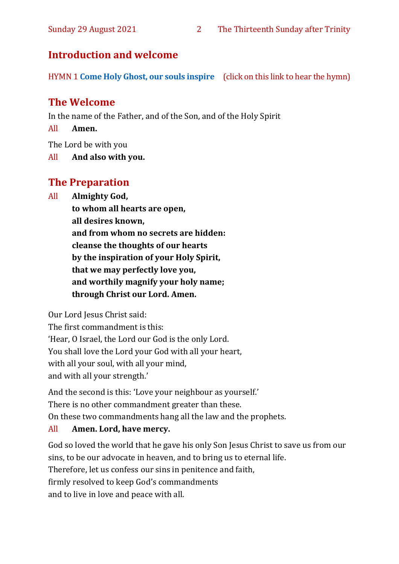# **Introduction and welcome**

HYMN 1 **[Come Holy Ghost, our souls inspire](https://www.youtube.com/watch?v=WjKcc8IcxIo&list=RDWjKcc8IcxIo&start_radio=1)** (click on this link to hear the hymn)

# **The Welcome**

In the name of the Father, and of the Son, and of the Holy Spirit

All **Amen.**

The Lord be with you

All **And also with you.**

## **The Preparation**

All **Almighty God,**

**to whom all hearts are open, all desires known, and from whom no secrets are hidden: cleanse the thoughts of our hearts by the inspiration of your Holy Spirit, that we may perfectly love you, and worthily magnify your holy name; through Christ our Lord. Amen.**

Our Lord Jesus Christ said:

The first commandment is this: 'Hear, O Israel, the Lord our God is the only Lord. You shall love the Lord your God with all your heart, with all your soul, with all your mind, and with all your strength.'

And the second is this: 'Love your neighbour as yourself.' There is no other commandment greater than these. On these two commandments hang all the law and the prophets.

#### All **Amen. Lord, have mercy.**

God so loved the world that he gave his only Son Jesus Christ to save us from our sins, to be our advocate in heaven, and to bring us to eternal life. Therefore, let us confess our sins in penitence and faith, firmly resolved to keep God's commandments and to live in love and peace with all.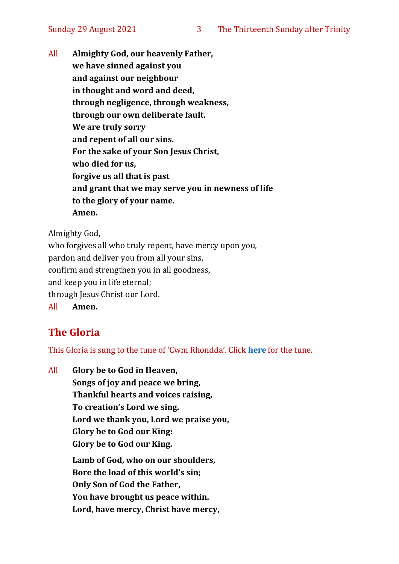All **Almighty God, our heavenly Father, we have sinned against you and against our neighbour in thought and word and deed, through negligence, through weakness, through our own deliberate fault. We are truly sorry and repent of all our sins. For the sake of your Son Jesus Christ, who died for us, forgive us all that is past and grant that we may serve you in newness of life to the glory of your name. Amen.**

Almighty God,

who forgives all who truly repent, have mercy upon you, pardon and deliver you from all your sins, confirm and strengthen you in all goodness, and keep you in life eternal; through Jesus Christ our Lord. All **Amen.**

# **The Gloria**

This Gloria is sung to the tune of 'Cwm Rhondda'. Click **[here](about:blank)** for the tune.

All **Glory be to God in Heaven, Songs of joy and peace we bring, Thankful hearts and voices raising, To creation's Lord we sing. Lord we thank you, Lord we praise you, Glory be to God our King: Glory be to God our King. Lamb of God, who on our shoulders, Bore the load of this world's sin; Only Son of God the Father, You have brought us peace within. Lord, have mercy, Christ have mercy,**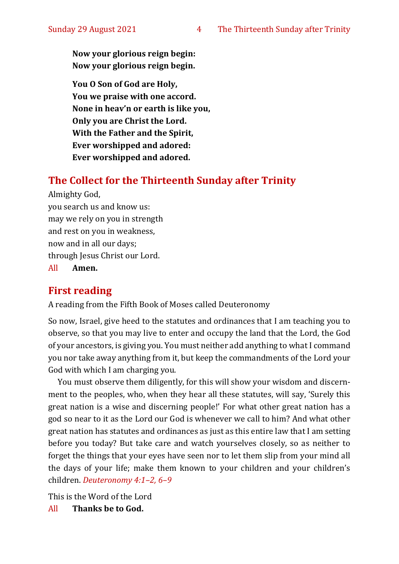**Now your glorious reign begin: Now your glorious reign begin.**

**You O Son of God are Holy, You we praise with one accord. None in heav'n or earth is like you, Only you are Christ the Lord. With the Father and the Spirit, Ever worshipped and adored: Ever worshipped and adored.**

#### **The Collect for the Thirteenth Sunday after Trinity**

Almighty God, you search us and know us: may we rely on you in strength and rest on you in weakness, now and in all our days; through Jesus Christ our Lord. All **Amen.**

#### **First reading**

A reading from the Fifth Book of Moses called Deuteronomy

So now, Israel, give heed to the statutes and ordinances that I am teaching you to observe, so that you may live to enter and occupy the land that the Lord, the God of your ancestors, is giving you. You must neither add anything to what I command you nor take away anything from it, but keep the commandments of the Lord your God with which I am charging you.

You must observe them diligently, for this will show your wisdom and discernment to the peoples, who, when they hear all these statutes, will say, 'Surely this great nation is a wise and discerning people!' For what other great nation has a god so near to it as the Lord our God is whenever we call to him? And what other great nation has statutes and ordinances as just as this entire law that I am setting before you today? But take care and watch yourselves closely, so as neither to forget the things that your eyes have seen nor to let them slip from your mind all the days of your life; make them known to your children and your children's children. *Deuteronomy 4:1–2, 6–9*

This is the Word of the Lord

All **Thanks be to God.**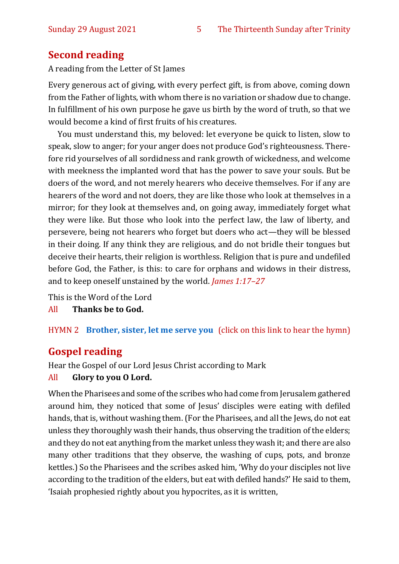# **Second reading**

A reading from the Letter of St James

Every generous act of giving, with every perfect gift, is from above, coming down from the Father of lights, with whom there is no variation or shadow due to change. In fulfillment of his own purpose he gave us birth by the word of truth, so that we would become a kind of first fruits of his creatures.

You must understand this, my beloved: let everyone be quick to listen, slow to speak, slow to anger; for your anger does not produce God's righteousness. Therefore rid yourselves of all sordidness and rank growth of wickedness, and welcome with meekness the implanted word that has the power to save your souls. But be doers of the word, and not merely hearers who deceive themselves. For if any are hearers of the word and not doers, they are like those who look at themselves in a mirror; for they look at themselves and, on going away, immediately forget what they were like. But those who look into the perfect law, the law of liberty, and persevere, being not hearers who forget but doers who act—they will be blessed in their doing. If any think they are religious, and do not bridle their tongues but deceive their hearts, their religion is worthless. Religion that is pure and undefiled before God, the Father, is this: to care for orphans and widows in their distress, and to keep oneself unstained by the world. *James 1:17–27*

This is the Word of the Lord

All **Thanks be to God.**

#### HYMN 2 **[Brother, sister, let me serve you](https://www.youtube.com/watch?v=hlNoxoOocZs)** (click on this link to hear the hymn)

# **Gospel reading**

Hear the Gospel of our Lord Jesus Christ according to Mark

#### All **Glory to you O Lord.**

When the Pharisees and some of the scribes who had come from Jerusalem gathered around him, they noticed that some of Jesus' disciples were eating with defiled hands, that is, without washing them. (For the Pharisees, and all the Jews, do not eat unless they thoroughly wash their hands, thus observing the tradition of the elders; and they do not eat anything from the market unless they wash it; and there are also many other traditions that they observe, the washing of cups, pots, and bronze kettles.) So the Pharisees and the scribes asked him, 'Why do your disciples not live according to the tradition of the elders, but eat with defiled hands?' He said to them, 'Isaiah prophesied rightly about you hypocrites, as it is written,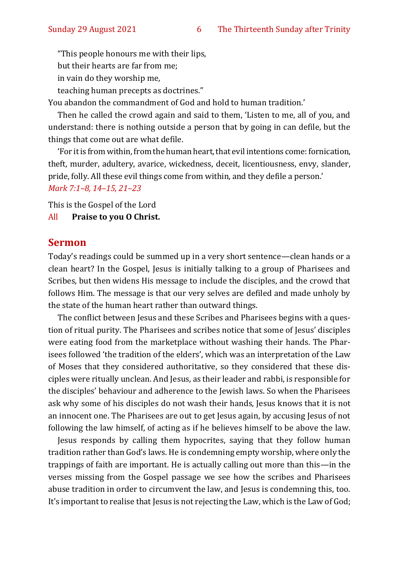"This people honours me with their lips,

but their hearts are far from me;

in vain do they worship me,

teaching human precepts as doctrines."

You abandon the commandment of God and hold to human tradition.'

Then he called the crowd again and said to them, 'Listen to me, all of you, and understand: there is nothing outside a person that by going in can defile, but the things that come out are what defile.

'For it is from within, from the human heart, that evil intentions come: fornication, theft, murder, adultery, avarice, wickedness, deceit, licentiousness, envy, slander, pride, folly. All these evil things come from within, and they defile a person.' *Mark 7:1–8, 14–15, 21–23*

This is the Gospel of the Lord

All **Praise to you O Christ.** 

#### **Sermon**

Today's readings could be summed up in a very short sentence—clean hands or a clean heart? In the Gospel, Jesus is initially talking to a group of Pharisees and Scribes, but then widens His message to include the disciples, and the crowd that follows Him. The message is that our very selves are defiled and made unholy by the state of the human heart rather than outward things.

The conflict between Jesus and these Scribes and Pharisees begins with a question of ritual purity. The Pharisees and scribes notice that some of Jesus' disciples were eating food from the marketplace without washing their hands. The Pharisees followed 'the tradition of the elders', which was an interpretation of the Law of Moses that they considered authoritative, so they considered that these disciples were ritually unclean. And Jesus, as their leader and rabbi, is responsible for the disciples' behaviour and adherence to the Jewish laws. So when the Pharisees ask why some of his disciples do not wash their hands, Jesus knows that it is not an innocent one. The Pharisees are out to get Jesus again, by accusing Jesus of not following the law himself, of acting as if he believes himself to be above the law.

Jesus responds by calling them hypocrites, saying that they follow human tradition rather than God's laws. He is condemning empty worship, where only the trappings of faith are important. He is actually calling out more than this—in the verses missing from the Gospel passage we see how the scribes and Pharisees abuse tradition in order to circumvent the law, and Jesus is condemning this, too. It's important to realise that Jesus is not rejecting the Law, which is the Law of God;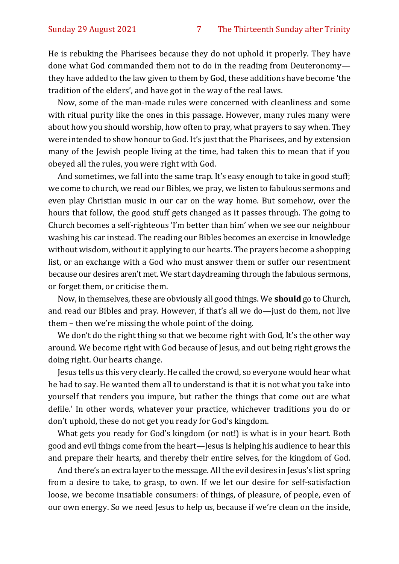He is rebuking the Pharisees because they do not uphold it properly. They have done what God commanded them not to do in the reading from Deuteronomy they have added to the law given to them by God, these additions have become 'the tradition of the elders', and have got in the way of the real laws.

Now, some of the man-made rules were concerned with cleanliness and some with ritual purity like the ones in this passage. However, many rules many were about how you should worship, how often to pray, what prayers to say when. They were intended to show honour to God. It's just that the Pharisees, and by extension many of the Jewish people living at the time, had taken this to mean that if you obeyed all the rules, you were right with God.

And sometimes, we fall into the same trap. It's easy enough to take in good stuff; we come to church, we read our Bibles, we pray, we listen to fabulous sermons and even play Christian music in our car on the way home. But somehow, over the hours that follow, the good stuff gets changed as it passes through. The going to Church becomes a self-righteous 'I'm better than him' when we see our neighbour washing his car instead. The reading our Bibles becomes an exercise in knowledge without wisdom, without it applying to our hearts. The prayers become a shopping list, or an exchange with a God who must answer them or suffer our resentment because our desires aren't met. We start daydreaming through the fabulous sermons, or forget them, or criticise them.

Now, in themselves, these are obviously all good things. We **should** go to Church, and read our Bibles and pray. However, if that's all we do—just do them, not live them – then we're missing the whole point of the doing.

We don't do the right thing so that we become right with God, It's the other way around. We become right with God because of Jesus, and out being right grows the doing right. Our hearts change.

Jesus tells us this very clearly. He called the crowd, so everyone would hear what he had to say. He wanted them all to understand is that it is not what you take into yourself that renders you impure, but rather the things that come out are what defile.' In other words, whatever your practice, whichever traditions you do or don't uphold, these do not get you ready for God's kingdom.

What gets you ready for God's kingdom (or not!) is what is in your heart. Both good and evil things come from the heart—Jesus is helping his audience to hear this and prepare their hearts, and thereby their entire selves, for the kingdom of God.

And there's an extra layer to the message. All the evil desires in Jesus's list spring from a desire to take, to grasp, to own. If we let our desire for self-satisfaction loose, we become insatiable consumers: of things, of pleasure, of people, even of our own energy. So we need Jesus to help us, because if we're clean on the inside,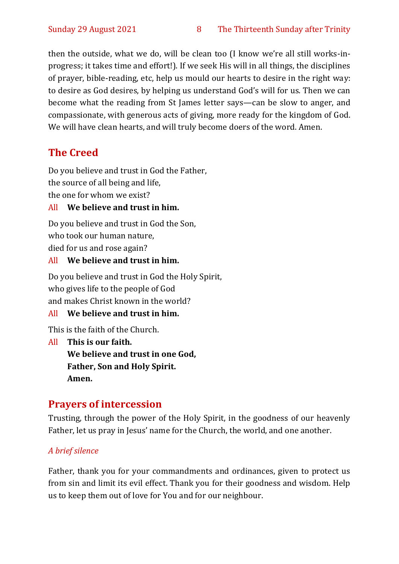then the outside, what we do, will be clean too (I know we're all still works-inprogress; it takes time and effort!). If we seek His will in all things, the disciplines of prayer, bible-reading, etc, help us mould our hearts to desire in the right way: to desire as God desires, by helping us understand God's will for us. Then we can become what the reading from St James letter says—can be slow to anger, and compassionate, with generous acts of giving, more ready for the kingdom of God. We will have clean hearts, and will truly become doers of the word. Amen.

# **The Creed**

Do you believe and trust in God the Father, the source of all being and life, the one for whom we exist?

#### All **We believe and trust in him.**

Do you believe and trust in God the Son, who took our human nature, died for us and rose again?

#### All **We believe and trust in him.**

Do you believe and trust in God the Holy Spirit, who gives life to the people of God and makes Christ known in the world?

#### All **We believe and trust in him.**

This is the faith of the Church.

All **This is our faith. We believe and trust in one God, Father, Son and Holy Spirit. Amen.**

#### **Prayers of intercession**

Trusting, through the power of the Holy Spirit, in the goodness of our heavenly Father, let us pray in Jesus' name for the Church, the world, and one another.

#### *A brief silence*

Father, thank you for your commandments and ordinances, given to protect us from sin and limit its evil effect. Thank you for their goodness and wisdom. Help us to keep them out of love for You and for our neighbour.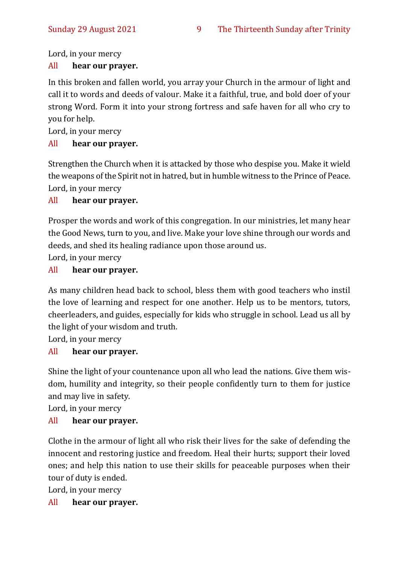Lord, in your mercy

#### All **hear our prayer.**

In this broken and fallen world, you array your Church in the armour of light and call it to words and deeds of valour. Make it a faithful, true, and bold doer of your strong Word. Form it into your strong fortress and safe haven for all who cry to you for help.

Lord, in your mercy

#### All **hear our prayer.**

Strengthen the Church when it is attacked by those who despise you. Make it wield the weapons of the Spirit not in hatred, but in humble witness to the Prince of Peace. Lord, in your mercy

#### All **hear our prayer.**

Prosper the words and work of this congregation. In our ministries, let many hear the Good News, turn to you, and live. Make your love shine through our words and deeds, and shed its healing radiance upon those around us.

Lord, in your mercy

#### All **hear our prayer.**

As many children head back to school, bless them with good teachers who instil the love of learning and respect for one another. Help us to be mentors, tutors, cheerleaders, and guides, especially for kids who struggle in school. Lead us all by the light of your wisdom and truth.

Lord, in your mercy

#### All **hear our prayer.**

Shine the light of your countenance upon all who lead the nations. Give them wisdom, humility and integrity, so their people confidently turn to them for justice and may live in safety.

Lord, in your mercy

#### All **hear our prayer.**

Clothe in the armour of light all who risk their lives for the sake of defending the innocent and restoring justice and freedom. Heal their hurts; support their loved ones; and help this nation to use their skills for peaceable purposes when their tour of duty is ended.

Lord, in your mercy

All **hear our prayer.**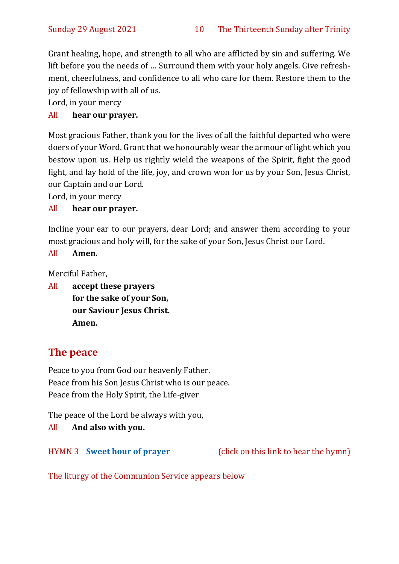Grant healing, hope, and strength to all who are afflicted by sin and suffering. We lift before you the needs of … Surround them with your holy angels. Give refreshment, cheerfulness, and confidence to all who care for them. Restore them to the joy of fellowship with all of us.

Lord, in your mercy

#### All **hear our prayer.**

Most gracious Father, thank you for the lives of all the faithful departed who were doers of your Word. Grant that we honourably wear the armour of light which you bestow upon us. Help us rightly wield the weapons of the Spirit, fight the good fight, and lay hold of the life, joy, and crown won for us by your Son, Jesus Christ, our Captain and our Lord.

Lord, in your mercy

#### All **hear our prayer.**

Incline your ear to our prayers, dear Lord; and answer them according to your most gracious and holy will, for the sake of your Son, Jesus Christ our Lord.

All **Amen.**

Merciful Father,

All **accept these prayers for the sake of your Son, our Saviour Jesus Christ. Amen.**

# **The peace**

Peace to you from God our heavenly Father. Peace from his Son Jesus Christ who is our peace. Peace from the Holy Spirit, the Life-giver

The peace of the Lord be always with you,

All **And also with you.**

HYMN 3 **[Sweet hour of prayer](https://www.youtube.com/watch?v=HRrIF30Jn8Q)** (click on this link to hear the hymn)

The liturgy of the Communion Service appears below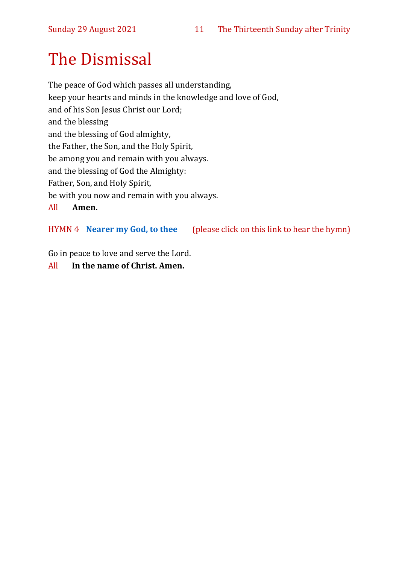# The Dismissal

The peace of God which passes all understanding, keep your hearts and minds in the knowledge and love of God, and of his Son Jesus Christ our Lord; and the blessing and the blessing of God almighty, the Father, the Son, and the Holy Spirit, be among you and remain with you always. and the blessing of God the Almighty: Father, Son, and Holy Spirit, be with you now and remain with you always. All **Amen.**

#### HYMN 4 **[Nearer my God, to thee](https://www.youtube.com/watch?v=Q6-R7zYeb9w)** (please click on this link to hear the hymn)

Go in peace to love and serve the Lord.

#### All **In the name of Christ. Amen.**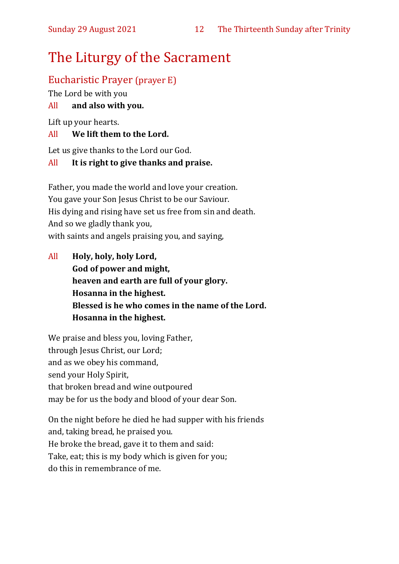# The Liturgy of the Sacrament

### Eucharistic Prayer (prayer E)

The Lord be with you

#### All **and also with you.**

Lift up your hearts.

#### All **We lift them to the Lord.**

Let us give thanks to the Lord our God.

#### All **It is right to give thanks and praise.**

Father, you made the world and love your creation. You gave your Son Jesus Christ to be our Saviour. His dying and rising have set us free from sin and death. And so we gladly thank you, with saints and angels praising you, and saying,

All **Holy, holy, holy Lord, God of power and might, heaven and earth are full of your glory. Hosanna in the highest. Blessed is he who comes in the name of the Lord. Hosanna in the highest.**

We praise and bless you, loving Father, through Jesus Christ, our Lord; and as we obey his command, send your Holy Spirit, that broken bread and wine outpoured may be for us the body and blood of your dear Son.

On the night before he died he had supper with his friends and, taking bread, he praised you. He broke the bread, gave it to them and said: Take, eat; this is my body which is given for you; do this in remembrance of me.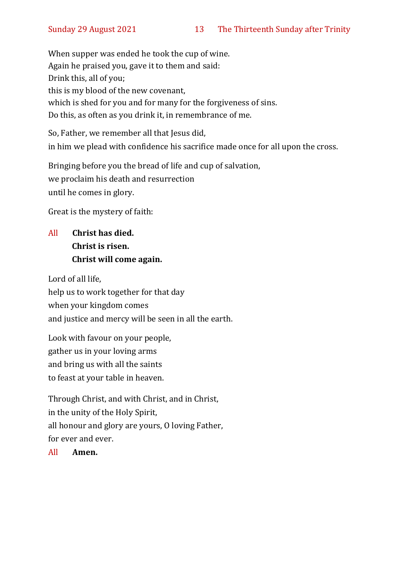When supper was ended he took the cup of wine. Again he praised you, gave it to them and said: Drink this, all of you; this is my blood of the new covenant, which is shed for you and for many for the forgiveness of sins. Do this, as often as you drink it, in remembrance of me.

So, Father, we remember all that Jesus did, in him we plead with confidence his sacrifice made once for all upon the cross.

Bringing before you the bread of life and cup of salvation, we proclaim his death and resurrection until he comes in glory.

Great is the mystery of faith:

# All **Christ has died. Christ is risen. Christ will come again.**

Lord of all life, help us to work together for that day when your kingdom comes and justice and mercy will be seen in all the earth.

Look with favour on your people, gather us in your loving arms and bring us with all the saints to feast at your table in heaven.

Through Christ, and with Christ, and in Christ, in the unity of the Holy Spirit, all honour and glory are yours, O loving Father, for ever and ever.

All **Amen.**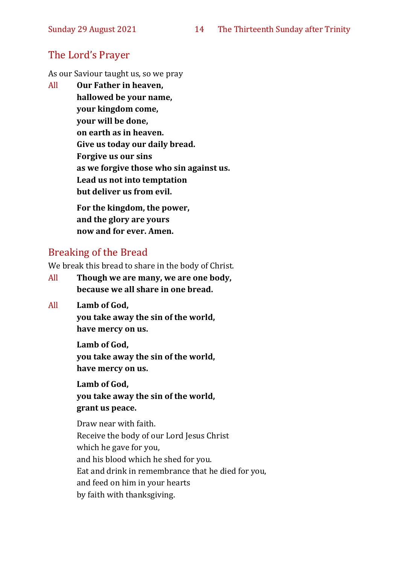## The Lord's Prayer

As our Saviour taught us, so we pray

All **Our Father in heaven, hallowed be your name, your kingdom come, your will be done, on earth as in heaven. Give us today our daily bread. Forgive us our sins as we forgive those who sin against us. Lead us not into temptation but deliver us from evil. For the kingdom, the power,** 

**and the glory are yours now and for ever. Amen.**

# Breaking of the Bread

We break this bread to share in the body of Christ.

- All **Though we are many, we are one body, because we all share in one bread.**
- All **Lamb of God,**

**you take away the sin of the world, have mercy on us.**

**Lamb of God, you take away the sin of the world, have mercy on us.**

**Lamb of God, you take away the sin of the world, grant us peace.**

Draw near with faith. Receive the body of our Lord Jesus Christ which he gave for you, and his blood which he shed for you. Eat and drink in remembrance that he died for you, and feed on him in your hearts by faith with thanksgiving.